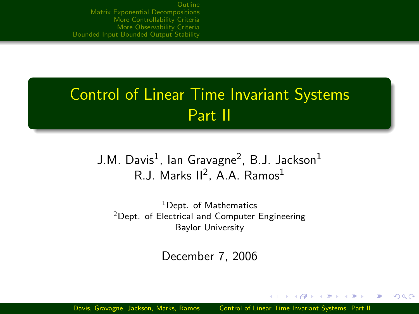# Control of Linear Time Invariant Systems Part II

## J.M. Davis $^1$ , Ian Gravagne $^2$ , B.J. Jackson $^1$ R.J. Marks II<sup>2</sup>, A.A. Ramos<sup>1</sup>

<sup>1</sup>Dept. of Mathematics <sup>2</sup>Dept. of Electrical and Computer Engineering Baylor University

December 7, 2006

<span id="page-0-0"></span> $QQ$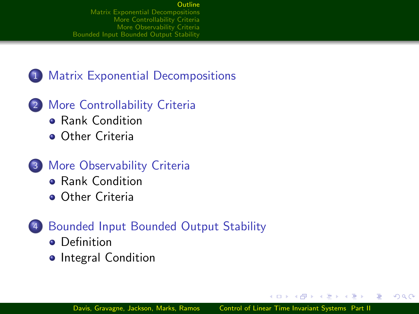## 1 [Matrix Exponential Decompositions](#page-2-0)

- 2 [More Controllability Criteria](#page-4-0)
	- **[Rank Condition](#page-4-0)**
	- **[Other Criteria](#page-10-0)**
- 3 [More Observability Criteria](#page-13-0)
	- **[Rank Condition](#page-13-0)**
	- **[Other Criteria](#page-16-0)**
- <span id="page-1-0"></span>4 [Bounded Input Bounded Output Stability](#page-18-0)
	- **o** [Definition](#page-18-0)
	- **•** [Integral Condition](#page-19-0)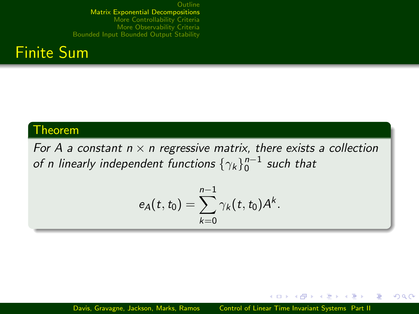

### Theorem

For A a constant  $n \times n$  regressive matrix, there exists a collection of n linearly independent functions  $\left\{\gamma_k\right\}_0^{n-1}$  such that

$$
e_A(t,t_0) = \sum_{k=0}^{n-1} \gamma_k(t,t_0) A^k.
$$

 $A \equiv 3$ 

<span id="page-2-0"></span>э

つくい

a mills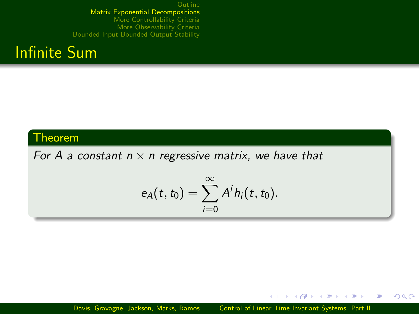

## Theorem

For A a constant  $n \times n$  regressive matrix, we have that

$$
e_A(t,t_0)=\sum_{i=0}^\infty A^ih_i(t,t_0).
$$

Davis, Gravagne, Jackson, Marks, Ramos [Control of Linear Time Invariant Systems Part II](#page-0-0)

4 0 8 - 6  $\sim$  化重变 化重

 $QQ$ 

重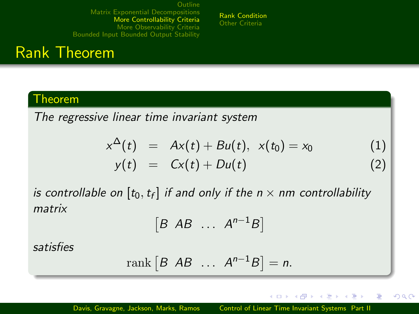[Rank Condition](#page-4-0) [Other Criteria](#page-10-0)

## Rank Theorem

### Theorem

The regressive linear time invariant system

$$
x^{\Delta}(t) = Ax(t) + Bu(t), x(t_0) = x_0
$$
 (1)  

$$
y(t) = Cx(t) + Du(t)
$$
 (2)

is controllable on  $[t_0,t_f]$  if and only if the  $n\times n$ m controllability matrix

$$
[B \ AB \ \ldots \ A^{n-1}B]
$$

satisfies

$$
rank [B AB ... A^{n-1}B] = n.
$$

 $\left\langle \begin{array}{ccc} 1 & 0 & 0 \\ 0 & 0 & 0 \end{array} \right\rangle$ 

<span id="page-4-0"></span>**A** The  $\sim$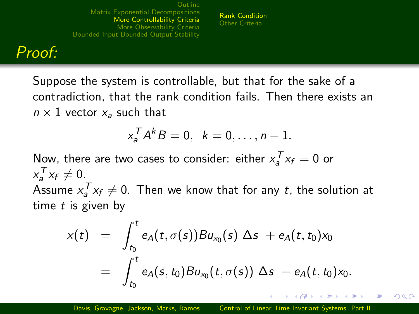[Rank Condition](#page-4-0) [Other Criteria](#page-10-0)

## Proof:

Suppose the system is controllable, but that for the sake of a contradiction, that the rank condition fails. Then there exists an  $n \times 1$  vector  $x_a$  such that

$$
x_a^T A^k B = 0, \quad k = 0, \ldots, n-1.
$$

Now, there are two cases to consider: either  $x_a^T x_f = 0$  or  $x_a^T x_f \neq 0.$ Assume  $x_a^T x_f \neq 0$ . Then we know that for any  $t$ , the solution at time  $t$  is given by

$$
x(t) = \int_{t_0}^t e_A(t, \sigma(s))Bu_{x_0}(s) \Delta s + e_A(t, t_0)x_0
$$
  
= 
$$
\int_{t_0}^t e_A(s, t_0)Bu_{x_0}(t, \sigma(s)) \Delta s + e_A(t, t_0)x_0.
$$

 $\Omega$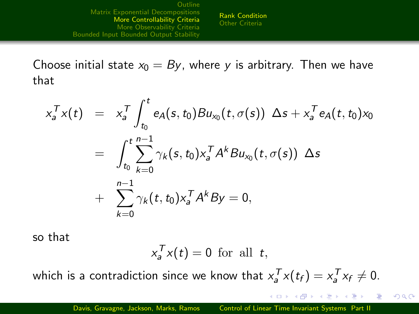[Rank Condition](#page-4-0) [Other Criteria](#page-10-0)

Choose initial state  $x_0 = By$ , where y is arbitrary. Then we have that

$$
x_a^T x(t) = x_a^T \int_{t_0}^t e_A(s, t_0) B u_{x_0}(t, \sigma(s)) \Delta s + x_a^T e_A(t, t_0) x_0
$$
  
= 
$$
\int_{t_0}^t \sum_{k=0}^{n-1} \gamma_k(s, t_0) x_a^T A^k B u_{x_0}(t, \sigma(s)) \Delta s
$$
  
+ 
$$
\sum_{k=0}^{n-1} \gamma_k(t, t_0) x_a^T A^k B y = 0,
$$

so that

$$
x_a^T x(t) = 0 \text{ for all } t,
$$

which is a contradiction since we know that  $x_a^T x(t_f) = x_a^T x_f \neq 0$ .

イロメ イ母メ イヨメ イヨメ

 $QQ$ 

重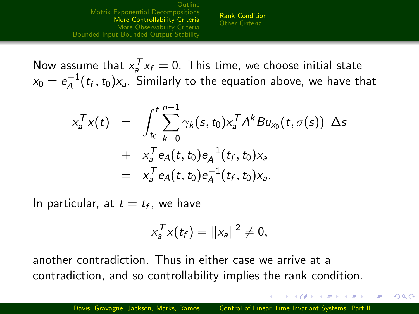[Rank Condition](#page-4-0) [Other Criteria](#page-10-0)

Now assume that  $x_a^T x_f = 0$ . This time, we choose initial state  $\mathsf{x}_0=\mathsf{e}_{\mathsf{A}}^{-1}$  $a_A^{-1}(t_f, t_0)$ x<sub>a</sub>. Similarly to the equation above, we have that

$$
x_a^T x(t) = \int_{t_0}^t \sum_{k=0}^{n-1} \gamma_k(s, t_0) x_a^T A^k B u_{x_0}(t, \sigma(s)) \Delta s + x_a^T e_A(t, t_0) e_A^{-1}(t_f, t_0) x_a = x_a^T e_A(t, t_0) e_A^{-1}(t_f, t_0) x_a.
$$

In particular, at  $t = t_f$ , we have

$$
x_a^T x(t_f) = ||x_a||^2 \neq 0,
$$

another contradiction. Thus in either case we arrive at a contradiction, and so controllability implies the rank condition.

- スート スート スート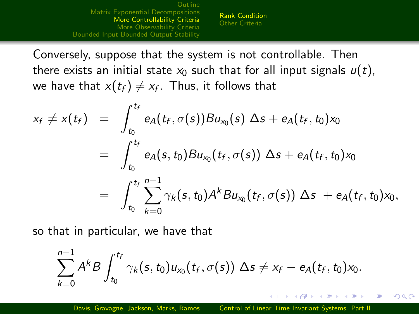[Rank Condition](#page-4-0) [Other Criteria](#page-10-0)

Conversely, suppose that the system is not controllable. Then there exists an initial state  $x_0$  such that for all input signals  $u(t)$ , we have that  $x(t_f)\neq x_f$ . Thus, it follows that

$$
x_f \neq x(t_f) = \int_{t_0}^{t_f} e_A(t_f, \sigma(s))Bu_{x_0}(s) \Delta s + e_A(t_f, t_0)x_0
$$
  
= 
$$
\int_{t_0}^{t_f} e_A(s, t_0)Bu_{x_0}(t_f, \sigma(s)) \Delta s + e_A(t_f, t_0)x_0
$$
  
= 
$$
\int_{t_0}^{t_f} \sum_{k=0}^{n-1} \gamma_k(s, t_0) A^k Bu_{x_0}(t_f, \sigma(s)) \Delta s + e_A(t_f, t_0)x_0,
$$

so that in particular, we have that

$$
\sum_{k=0}^{n-1}A^k B\int_{t_0}^{t_f}\gamma_k(s,t_0)u_{x_0}(t_f,\sigma(s))\;\Delta s\neq x_f-e_A(t_f,t_0)x_0.
$$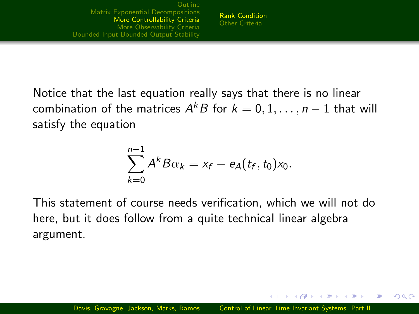Notice that the last equation really says that there is no linear combination of the matrices  $A^{k}B$  for  $k=0,1,\ldots,n-1$  that will satisfy the equation

$$
\sum_{k=0}^{n-1}A^kB\alpha_k=x_f-e_A(t_f,t_0)x_0.
$$

This statement of course needs verification, which we will not do here, but it does follow from a quite technical linear algebra argument.

しょうしょう エレーエム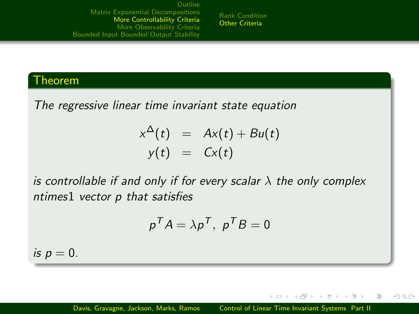[Rank Condition](#page-4-0) [Other Criteria](#page-10-0)

## Theorem

<span id="page-10-1"></span>The regressive linear time invariant state equation

$$
x^{\Delta}(t) = Ax(t) + Bu(t)
$$
  

$$
y(t) = Cx(t)
$$

is controllable if and only if for every scalar  $\lambda$  the only complex ntimes1 vector p that satisfies

$$
p^T A = \lambda p^T, p^T B = 0
$$

is  $p = 0$ .

**←ロ ▶ ← ← 冊 ▶** 

<span id="page-10-0"></span>医单侧 医单侧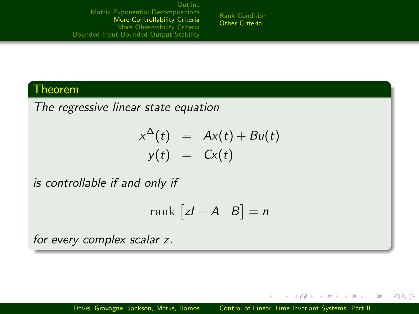[Rank Condition](#page-4-0) [Other Criteria](#page-10-0)

### Theorem

The regressive linear state equation

$$
x^{\Delta}(t) = Ax(t) + Bu(t)
$$
  

$$
y(t) = Cx(t)
$$

is controllable if and only if

$$
\text{rank } \begin{bmatrix} zI - A & B \end{bmatrix} = n
$$

for every complex scalar z.

4 0 8 **A 60 K** 

- 4 重 8 - 4 重 8

э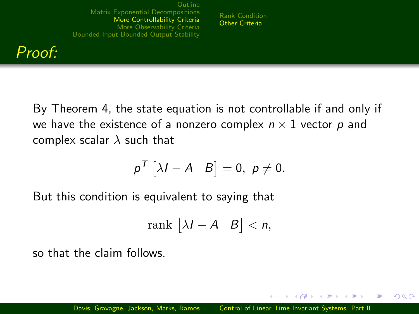

By Theorem [4,](#page-10-1) the state equation is not controllable if and only if we have the existence of a nonzero complex  $n \times 1$  vector p and complex scalar  $\lambda$  such that

[Rank Condition](#page-4-0) [Other Criteria](#page-10-0)

$$
p^T [\lambda I - A \quad B] = 0, \ p \neq 0.
$$

But this condition is equivalent to saying that

$$
\mathrm{rank}\,\begin{bmatrix} \lambda I - A & B \end{bmatrix} < n,
$$

so that the claim follows.

 $\lambda$   $\lambda$   $\lambda$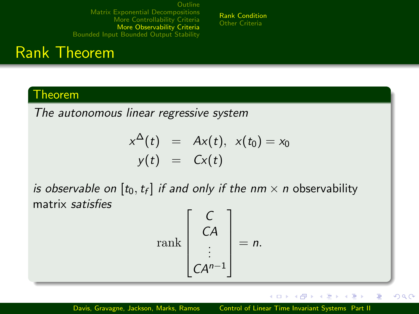#### [Rank Condition](#page-13-0) [Other Criteria](#page-16-0)

# Rank Theorem

## Theorem

The autonomous linear regressive system

$$
x^{\Delta}(t) = Ax(t), x(t_0) = x_0
$$
  

$$
y(t) = Cx(t)
$$

is observable on  $[t_0,t_f]$  if and only if the nm  $\times$  n observability matrix satisfies

$$
\operatorname{rank}\begin{bmatrix} C \\ CA \\ \vdots \\ CA^{n-1} \end{bmatrix} = n.
$$

4日 8 → 母→ **A** The  $\sim$  $\equiv$  E

<span id="page-13-0"></span> $QQ$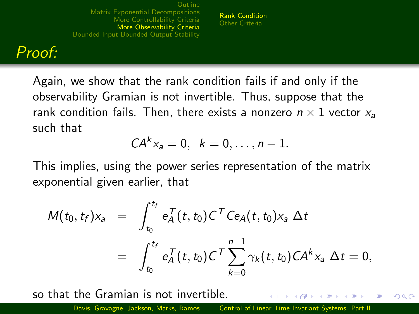[Rank Condition](#page-13-0) [Other Criteria](#page-16-0)

## Proof:

Again, we show that the rank condition fails if and only if the observability Gramian is not invertible. Thus, suppose that the rank condition fails. Then, there exists a nonzero  $n \times 1$  vector  $x_a$ such that

$$
CA^{k}x_{a}=0, \ \ k=0,\ldots,n-1.
$$

This implies, using the power series representation of the matrix exponential given earlier, that

$$
M(t_0, t_f) x_a = \int_{t_0}^{t_f} e_A^T(t, t_0) C^T C e_A(t, t_0) x_a \, \Delta t
$$
  
= 
$$
\int_{t_0}^{t_f} e_A^T(t, t_0) C^T \sum_{k=0}^{n-1} \gamma_k(t, t_0) C A^k x_a \, \Delta t = 0,
$$

so that the Gramian is not invertible. つくい Davis, Gravagne, Jackson, Marks, Ramos [Control of Linear Time Invariant Systems Part II](#page-0-0)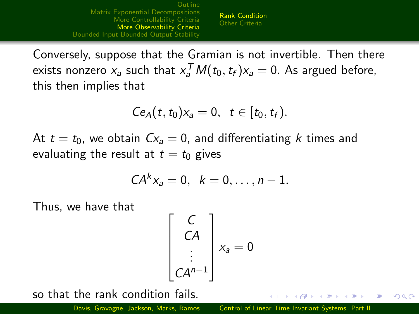[Rank Condition](#page-13-0) [Other Criteria](#page-16-0)

Conversely, suppose that the Gramian is not invertible. Then there exists nonzero  $x_a$  such that  $x_a^T M(t_0,t_f) x_a = 0$ . As argued before, this then implies that

$$
Ce_A(t,t_0)x_a=0,\ t\in[t_0,t_f).
$$

At  $t = t_0$ , we obtain  $Cx_a = 0$ , and differentiating k times and evaluating the result at  $t = t_0$  gives

$$
CA^{k}x_{a}=0, \ \ k=0,\ldots,n-1.
$$

Thus, we have that

$$
\begin{bmatrix} C \\ CA \\ \vdots \\ CA^{n-1} \end{bmatrix} x_a = 0
$$

so that the rank condition fails.

Davis, Gravagne, Jackson, Marks, Ramos [Control of Linear Time Invariant Systems Part II](#page-0-0)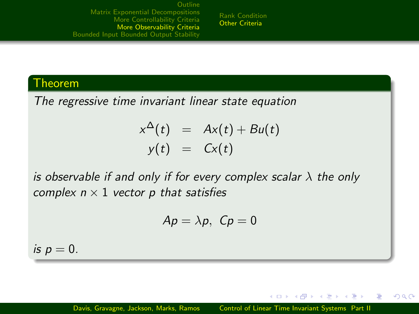[Rank Condition](#page-13-0) [Other Criteria](#page-16-0)

### Theorem

The regressive time invariant linear state equation

$$
x^{\Delta}(t) = Ax(t) + Bu(t)
$$
  

$$
y(t) = Cx(t)
$$

is observable if and only if for every complex scalar  $\lambda$  the only complex  $n \times 1$  vector p that satisfies

$$
Ap=\lambda p, \ Cp=0
$$

is  $p = 0$ .

4 17 18 **1周)** 

<span id="page-16-0"></span>- 4 重 8 - 4 重 8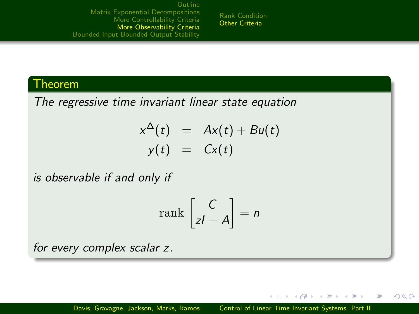[Rank Condition](#page-13-0) [Other Criteria](#page-16-0)

## Theorem

The regressive time invariant linear state equation

$$
x^{\Delta}(t) = Ax(t) + Bu(t)
$$
  

$$
y(t) = Cx(t)
$$

is observable if and only if

$$
\operatorname{rank}\left[\begin{matrix} C \\ zI - A \end{matrix}\right] = n
$$

for every complex scalar z.

4 0 8 **A FRIDA** 

<span id="page-17-0"></span>- イヨメ イヨ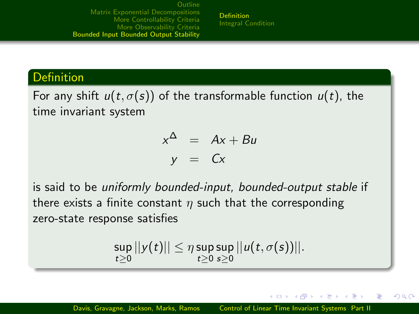[Definition](#page-18-0) [Integral Condition](#page-19-0)

### Definition

For any shift  $u(t, \sigma(s))$  of the transformable function  $u(t)$ , the time invariant system

$$
x^{\Delta} = Ax + Bu
$$
  

$$
y = Cx
$$

is said to be uniformly bounded-input, bounded-output stable if there exists a finite constant  $\eta$  such that the corresponding zero-state response satisfies

$$
\sup_{t\geq 0}||y(t)||\leq \eta \sup_{t\geq 0}\sup_{s\geq 0}||u(t,\sigma(s))||.
$$

4 17 18

<span id="page-18-0"></span>つくへ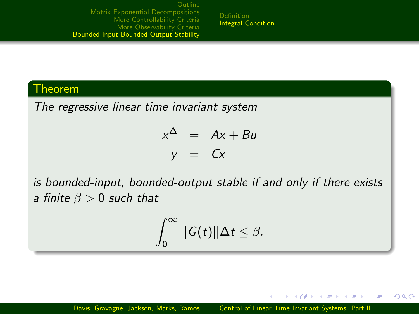[Definition](#page-18-0) [Integral Condition](#page-19-0)

### Theorem

The regressive linear time invariant system

$$
x^{\Delta} = Ax + Bu
$$
  

$$
y = Cx
$$

is bounded-input, bounded-output stable if and only if there exists a finite  $\beta > 0$  such that

$$
\int_0^\infty ||G(t)||\Delta t \leq \beta.
$$

and in

**1周)** 

- 4 重 8 - 4 重 8

<span id="page-19-0"></span>重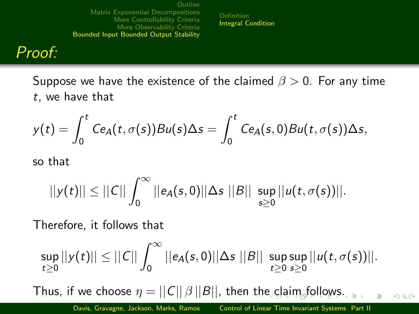[Definition](#page-18-0) [Integral Condition](#page-19-0)

## Proof:

Suppose we have the existence of the claimed  $\beta > 0$ . For any time t, we have that

$$
y(t) = \int_0^t C e_A(t, \sigma(s))Bu(s) \Delta s = \int_0^t C e_A(s, 0)Bu(t, \sigma(s)) \Delta s,
$$

so that

$$
||y(t)|| \leq ||C|| \int_0^\infty ||e_A(s,0)||\Delta s|||B|| \sup_{s\geq 0} ||u(t,\sigma(s))||.
$$

Therefore, it follows that

$$
\sup_{t\geq 0}||y(t)||\leq ||C||\int_0^\infty ||e_A(s,0)||\Delta s|||B||\sup_{t\geq 0}\sup_{s\geq 0}||u(t,\sigma(s))||.
$$

Thus, if w[e c](#page-19-0)h[o](#page-19-0)ose  $\eta = ||C|| \beta ||B||$ , then the cl[ai](#page-21-0)[m](#page-19-0) [f](#page-20-0)o[ll](#page-18-0)o[ws](#page-23-0)[.](#page-17-0)

<span id="page-20-0"></span> $QQ$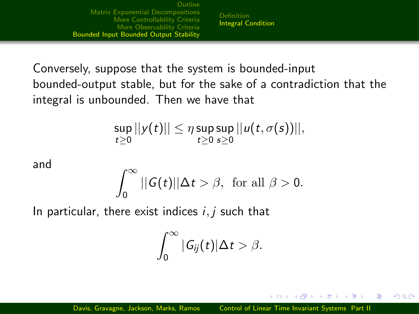[Definition](#page-18-0) [Integral Condition](#page-19-0)

Conversely, suppose that the system is bounded-input bounded-output stable, but for the sake of a contradiction that the integral is unbounded. Then we have that

$$
\sup_{t\geq 0}||y(t)||\leq \eta \sup_{t\geq 0}\sup_{s\geq 0}||u(t,\sigma(s))||,
$$

and

$$
\int_0^\infty ||G(t)||\Delta t > \beta, \text{ for all } \beta > 0.
$$

In particular, there exist indices  $i, j$  such that

$$
\int_0^\infty |G_{ij}(t)|\Delta t > \beta.
$$

4 17 18

オター・オート オート

<span id="page-21-0"></span> $\Omega$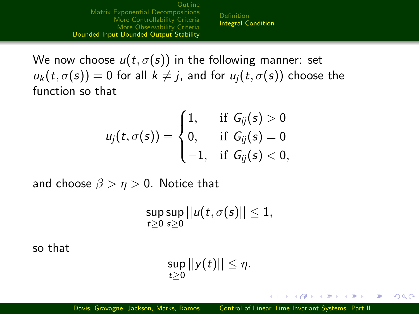[Definition](#page-18-0) [Integral Condition](#page-19-0)

We now choose  $u(t, \sigma(s))$  in the following manner: set  $u_k(t, \sigma(s)) = 0$  for all  $k \neq j$ , and for  $u_i(t, \sigma(s))$  choose the function so that

$$
u_j(t,\sigma(s)) = \begin{cases} 1, & \text{if } G_{ij}(s) > 0 \\ 0, & \text{if } G_{ij}(s) = 0 \\ -1, & \text{if } G_{ij}(s) < 0, \end{cases}
$$

and choose  $\beta > \eta > 0$ . Notice that

$$
\sup_{t\geq 0}\sup_{s\geq 0}||u(t,\sigma(s)||\leq 1,
$$

so that

$$
\sup_{t\geq 0}||y(t)||\leq \eta.
$$

メロメ メ母メ メラメ メラメー

重